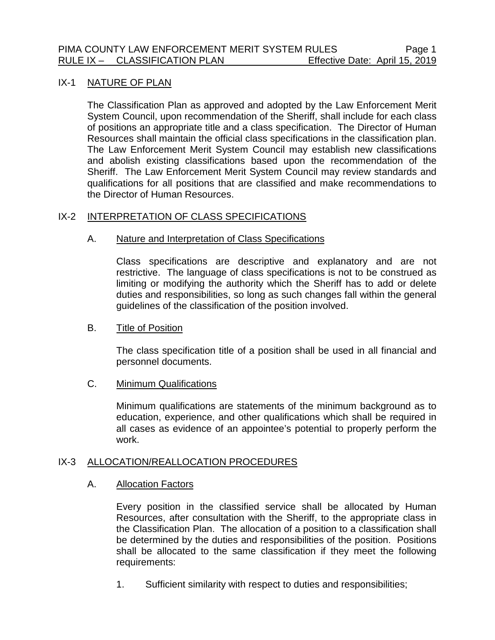### IX-1 NATURE OF PLAN

The Classification Plan as approved and adopted by the Law Enforcement Merit System Council, upon recommendation of the Sheriff, shall include for each class of positions an appropriate title and a class specification. The Director of Human Resources shall maintain the official class specifications in the classification plan. The Law Enforcement Merit System Council may establish new classifications and abolish existing classifications based upon the recommendation of the Sheriff. The Law Enforcement Merit System Council may review standards and qualifications for all positions that are classified and make recommendations to the Director of Human Resources.

## IX-2 INTERPRETATION OF CLASS SPECIFICATIONS

## A. Nature and Interpretation of Class Specifications

Class specifications are descriptive and explanatory and are not restrictive. The language of class specifications is not to be construed as limiting or modifying the authority which the Sheriff has to add or delete duties and responsibilities, so long as such changes fall within the general guidelines of the classification of the position involved.

#### B. Title of Position

The class specification title of a position shall be used in all financial and personnel documents.

# C. Minimum Qualifications

Minimum qualifications are statements of the minimum background as to education, experience, and other qualifications which shall be required in all cases as evidence of an appointee's potential to properly perform the work.

#### IX-3 ALLOCATION/REALLOCATION PROCEDURES

## A. Allocation Factors

Every position in the classified service shall be allocated by Human Resources, after consultation with the Sheriff, to the appropriate class in the Classification Plan. The allocation of a position to a classification shall be determined by the duties and responsibilities of the position. Positions shall be allocated to the same classification if they meet the following requirements:

1. Sufficient similarity with respect to duties and responsibilities;